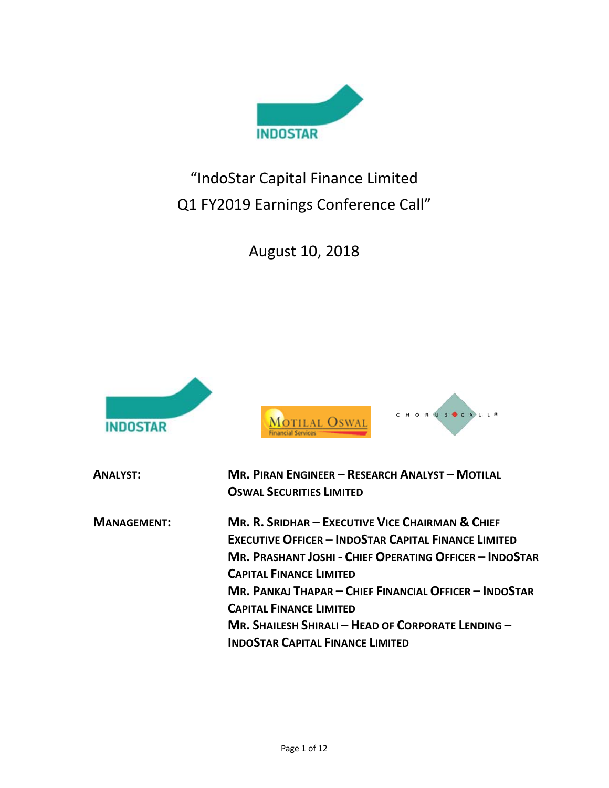

"IndoStar Capital Finance Limited Q1 FY2019 Earnings Conference Call"

August 10, 2018





| <b>ANALYST:</b>    | <b>MR. PIRAN ENGINEER - RESEARCH ANALYST - MOTILAL</b><br><b>OSWAL SECURITIES LIMITED</b> |
|--------------------|-------------------------------------------------------------------------------------------|
| <b>MANAGEMENT:</b> | MR. R. SRIDHAR – EXECUTIVE VICE CHAIRMAN & CHIEF                                          |
|                    | <b>EXECUTIVE OFFICER - INDOSTAR CAPITAL FINANCE LIMITED</b>                               |
|                    | <b>MR. PRASHANT JOSHI - CHIEF OPERATING OFFICER - INDOSTAR</b>                            |
|                    | <b>CAPITAL FINANCE LIMITED</b>                                                            |
|                    | MR. PANKAJ THAPAR – CHIEF FINANCIAL OFFICER – INDOSTAR                                    |
|                    | <b>CAPITAL FINANCE LIMITED</b>                                                            |
|                    | MR. SHAILESH SHIRALI - HEAD OF CORPORATE LENDING -                                        |
|                    | <b>INDOSTAR CAPITAL FINANCE LIMITED</b>                                                   |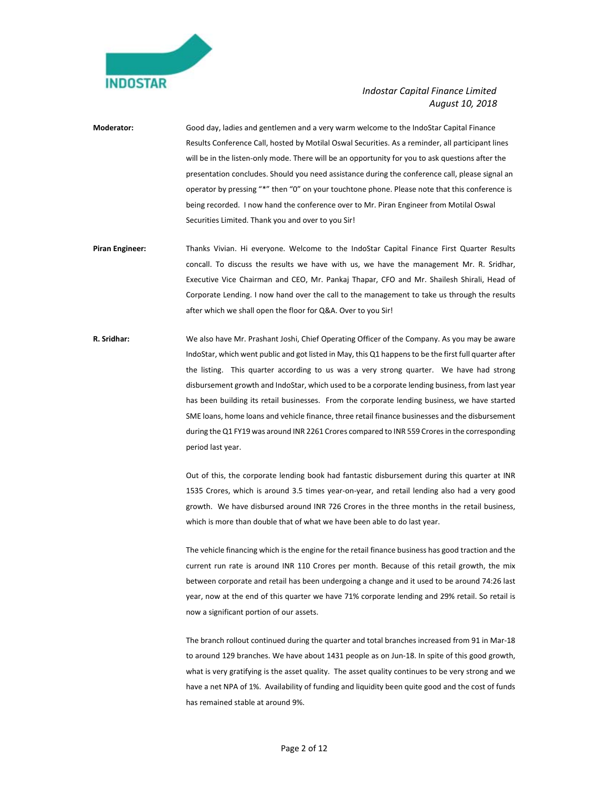

- **Moderator:** Good day, ladies and gentlemen and a very warm welcome to the IndoStar Capital Finance Results Conference Call, hosted by Motilal Oswal Securities. As a reminder, all participant lines will be in the listen-only mode. There will be an opportunity for you to ask questions after the presentation concludes. Should you need assistance during the conference call, please signal an operator by pressing "\*" then "0" on your touchtone phone. Please note that this conference is being recorded. I now hand the conference over to Mr. Piran Engineer from Motilal Oswal Securities Limited. Thank you and over to you Sir!
- Piran Engineer: Thanks Vivian. Hi everyone. Welcome to the IndoStar Capital Finance First Quarter Results concall. To discuss the results we have with us, we have the management Mr. R. Sridhar, Executive Vice Chairman and CEO, Mr. Pankaj Thapar, CFO and Mr. Shailesh Shirali, Head of Corporate Lending. I now hand over the call to the management to take us through the results after which we shall open the floor for Q&A. Over to you Sir!
- **R. Sridhar:** We also have Mr. Prashant Joshi, Chief Operating Officer of the Company. As you may be aware IndoStar, which went public and got listed in May, this Q1 happens to be the first full quarter after the listing. This quarter according to us was a very strong quarter. We have had strong disbursement growth and IndoStar, which used to be a corporate lending business, from last year has been building its retail businesses. From the corporate lending business, we have started SME loans, home loans and vehicle finance, three retail finance businesses and the disbursement during the Q1 FY19 was around INR 2261 Crores compared to INR 559 Crores in the corresponding period last year.

 Out of this, the corporate lending book had fantastic disbursement during this quarter at INR 1535 Crores, which is around 3.5 times year-on-year, and retail lending also had a very good growth. We have disbursed around INR 726 Crores in the three months in the retail business, which is more than double that of what we have been able to do last year.

 The vehicle financing which is the engine for the retail finance business has good traction and the current run rate is around INR 110 Crores per month. Because of this retail growth, the mix between corporate and retail has been undergoing a change and it used to be around 74:26 last year, now at the end of this quarter we have 71% corporate lending and 29% retail. So retail is now a significant portion of our assets.

 The branch rollout continued during the quarter and total branches increased from 91 in Mar‐18 to around 129 branches. We have about 1431 people as on Jun-18. In spite of this good growth, what is very gratifying is the asset quality. The asset quality continues to be very strong and we have a net NPA of 1%. Availability of funding and liquidity been quite good and the cost of funds has remained stable at around 9%.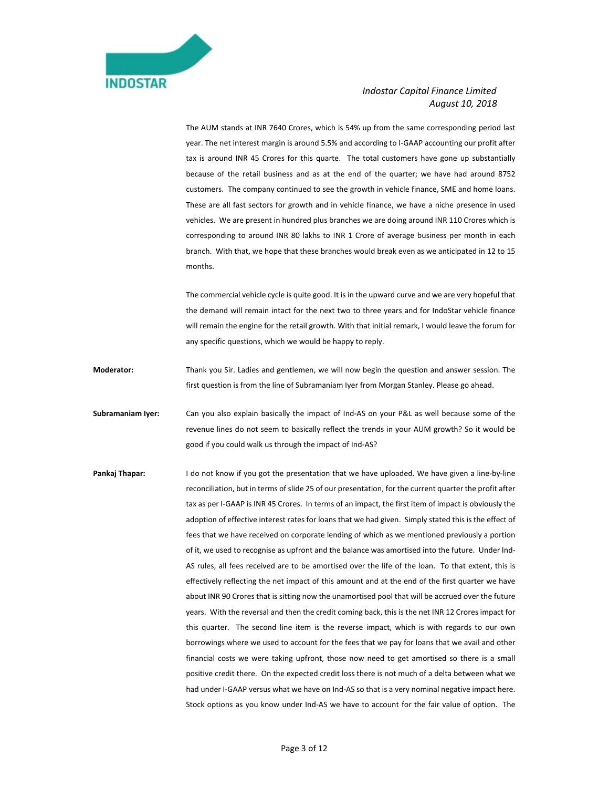

 The AUM stands at INR 7640 Crores, which is 54% up from the same corresponding period last year. The net interest margin is around 5.5% and according to I‐GAAP accounting our profit after tax is around INR 45 Crores for this quarte. The total customers have gone up substantially because of the retail business and as at the end of the quarter; we have had around 8752 customers. The company continued to see the growth in vehicle finance, SME and home loans. These are all fast sectors for growth and in vehicle finance, we have a niche presence in used vehicles. We are present in hundred plus branches we are doing around INR 110 Crores which is corresponding to around INR 80 lakhs to INR 1 Crore of average business per month in each branch. With that, we hope that these branches would break even as we anticipated in 12 to 15 months.

 The commercial vehicle cycle is quite good. It is in the upward curve and we are very hopeful that the demand will remain intact for the next two to three years and for IndoStar vehicle finance will remain the engine for the retail growth. With that initial remark, I would leave the forum for any specific questions, which we would be happy to reply.

**Moderator:**  Thank you Sir. Ladies and gentlemen, we will now begin the question and answer session. The first question is from the line of Subramaniam Iyer from Morgan Stanley. Please go ahead.

**Subramaniam Iyer:** Can you also explain basically the impact of Ind-AS on your P&L as well because some of the revenue lines do not seem to basically reflect the trends in your AUM growth? So it would be good if you could walk us through the impact of Ind‐AS?

**Pankaj Thapar:** I do not know if you got the presentation that we have uploaded. We have given a line-by-line reconciliation, but in terms of slide 25 of our presentation, for the current quarter the profit after tax as per I-GAAP is INR 45 Crores. In terms of an impact, the first item of impact is obviously the adoption of effective interest rates for loans that we had given. Simply stated this is the effect of fees that we have received on corporate lending of which as we mentioned previously a portion of it, we used to recognise as upfront and the balance was amortised into the future. Under Ind‐ AS rules, all fees received are to be amortised over the life of the loan. To that extent, this is effectively reflecting the net impact of this amount and at the end of the first quarter we have about INR 90 Crores that is sitting now the unamortised pool that will be accrued over the future years. With the reversal and then the credit coming back, this is the net INR 12 Crores impact for this quarter. The second line item is the reverse impact, which is with regards to our own borrowings where we used to account for the fees that we pay for loans that we avail and other financial costs we were taking upfront, those now need to get amortised so there is a small positive credit there. On the expected credit loss there is not much of a delta between what we had under I-GAAP versus what we have on Ind-AS so that is a very nominal negative impact here. Stock options as you know under Ind-AS we have to account for the fair value of option. The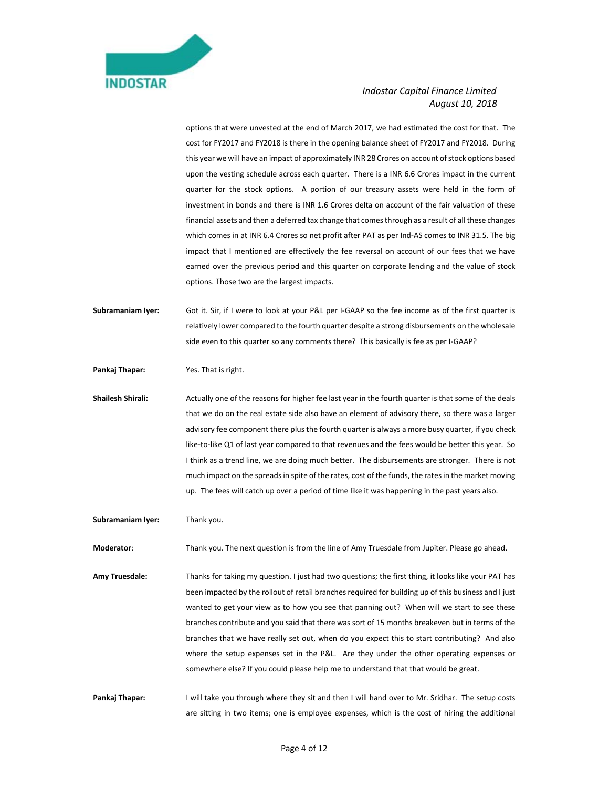

options that were unvested at the end of March 2017, we had estimated the cost for that. The cost for FY2017 and FY2018 is there in the opening balance sheet of FY2017 and FY2018. During this year we will have an impact of approximately INR 28 Crores on account of stock options based upon the vesting schedule across each quarter. There is a INR 6.6 Crores impact in the current quarter for the stock options. A portion of our treasury assets were held in the form of investment in bonds and there is INR 1.6 Crores delta on account of the fair valuation of these financial assets and then a deferred tax change that comes through as a result of all these changes which comes in at INR 6.4 Crores so net profit after PAT as per Ind-AS comes to INR 31.5. The big impact that I mentioned are effectively the fee reversal on account of our fees that we have earned over the previous period and this quarter on corporate lending and the value of stock options. Those two are the largest impacts.

**Subramaniam Iyer:** Got it. Sir, if I were to look at your P&L per I‐GAAP so the fee income as of the first quarter is relatively lower compared to the fourth quarter despite a strong disbursements on the wholesale side even to this quarter so any comments there? This basically is fee as per I-GAAP?

**Pankaj Thapar:** Yes. That is right.

Shailesh Shirali: **Actually one of the reasons for higher fee last year in the fourth quarter is that some of the deals** that we do on the real estate side also have an element of advisory there, so there was a larger advisory fee component there plus the fourth quarter is always a more busy quarter, if you check like-to-like Q1 of last year compared to that revenues and the fees would be better this year. So I think as a trend line, we are doing much better. The disbursements are stronger. There is not much impact on the spreads in spite of the rates, cost of the funds, the rates in the market moving up. The fees will catch up over a period of time like it was happening in the past years also.

**Subramaniam Iyer:** Thank you.

**Moderator**: Thank you. The next question is from the line of Amy Truesdale from Jupiter. Please go ahead.

**Amy Truesdale:** Thanks for taking my question. I just had two questions; the first thing, it looks like your PAT has been impacted by the rollout of retail branches required for building up of this business and I just wanted to get your view as to how you see that panning out? When will we start to see these branches contribute and you said that there was sort of 15 months breakeven but in terms of the branches that we have really set out, when do you expect this to start contributing? And also where the setup expenses set in the P&L. Are they under the other operating expenses or somewhere else? If you could please help me to understand that that would be great.

**Pankaj Thapar:** I will take you through where they sit and then I will hand over to Mr. Sridhar. The setup costs are sitting in two items; one is employee expenses, which is the cost of hiring the additional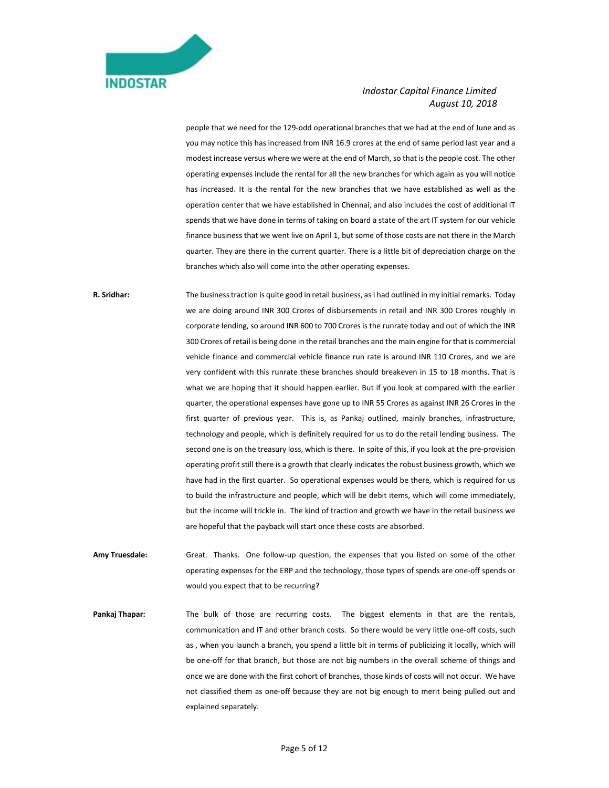

people that we need for the 129‐odd operational branches that we had at the end of June and as you may notice this has increased from INR 16.9 crores at the end of same period last year and a modest increase versus where we were at the end of March, so that is the people cost. The other operating expenses include the rental for all the new branches for which again as you will notice has increased. It is the rental for the new branches that we have established as well as the operation center that we have established in Chennai, and also includes the cost of additional IT spends that we have done in terms of taking on board a state of the art IT system for our vehicle finance business that we went live on April 1, but some of those costs are not there in the March quarter. They are there in the current quarter. There is a little bit of depreciation charge on the branches which also will come into the other operating expenses.

**R. Sridhar:** The business traction is quite good in retail business, as I had outlined in my initial remarks. Today we are doing around INR 300 Crores of disbursements in retail and INR 300 Crores roughly in corporate lending, so around INR 600 to 700 Crores is the runrate today and out of which the INR 300 Crores of retail is being done in the retail branches and the main engine for that is commercial vehicle finance and commercial vehicle finance run rate is around INR 110 Crores, and we are very confident with this runrate these branches should breakeven in 15 to 18 months. That is what we are hoping that it should happen earlier. But if you look at compared with the earlier quarter, the operational expenses have gone up to INR 55 Crores as against INR 26 Crores in the first quarter of previous year. This is, as Pankaj outlined, mainly branches, infrastructure, technology and people, which is definitely required for us to do the retail lending business. The second one is on the treasury loss, which is there. In spite of this, if you look at the pre-provision operating profit still there is a growth that clearly indicates the robust business growth, which we have had in the first quarter. So operational expenses would be there, which is required for us to build the infrastructure and people, which will be debit items, which will come immediately, but the income will trickle in. The kind of traction and growth we have in the retail business we are hopeful that the payback will start once these costs are absorbed.

Amy Truesdale: Great. Thanks. One follow-up question, the expenses that you listed on some of the other operating expenses for the ERP and the technology, those types of spends are one‐off spends or would you expect that to be recurring?

Pankaj Thapar: The bulk of those are recurring costs. The biggest elements in that are the rentals, communication and IT and other branch costs. So there would be very little one-off costs, such as , when you launch a branch, you spend a little bit in terms of publicizing it locally, which will be one‐off for that branch, but those are not big numbers in the overall scheme of things and once we are done with the first cohort of branches, those kinds of costs will not occur. We have not classified them as one-off because they are not big enough to merit being pulled out and explained separately.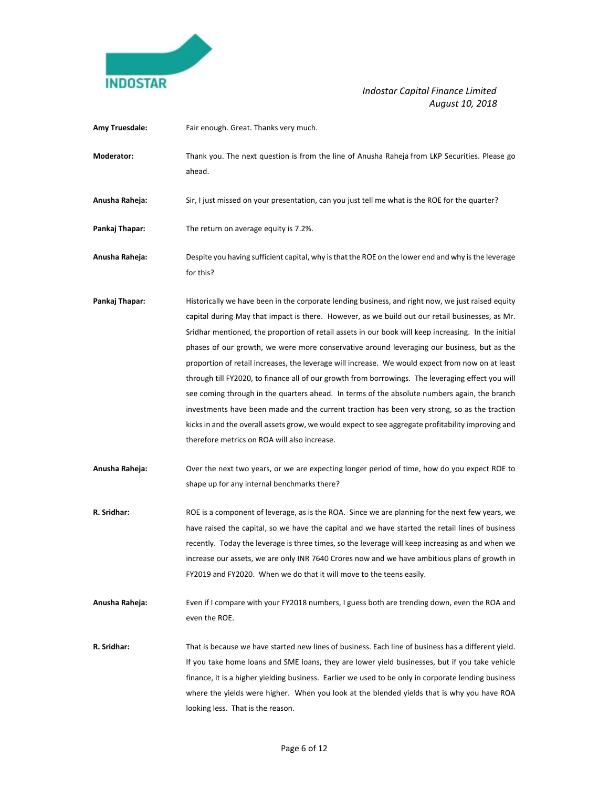

- Amy Truesdale: Fair enough. Great. Thanks very much.
- **Moderator:** Thank you. The next question is from the line of Anusha Raheja from LKP Securities. Please go ahead.
- **Anusha Raheja:** Sir, I just missed on your presentation, can you just tell me what is the ROE for the quarter?
- Pankaj Thapar: The return on average equity is 7.2%.
- **Anusha Raheja:** Despite you having sufficient capital, why is that the ROE on the lower end and why is the leverage for this?
- Pankaj Thapar: **Historically we have been in the corporate lending business, and right now, we just raised equity** capital during May that impact is there. However, as we build out our retail businesses, as Mr. Sridhar mentioned, the proportion of retail assets in our book will keep increasing. In the initial phases of our growth, we were more conservative around leveraging our business, but as the proportion of retail increases, the leverage will increase. We would expect from now on at least through till FY2020, to finance all of our growth from borrowings. The leveraging effect you will see coming through in the quarters ahead. In terms of the absolute numbers again, the branch investments have been made and the current traction has been very strong, so as the traction kicks in and the overall assets grow, we would expect to see aggregate profitability improving and therefore metrics on ROA will also increase.
- **Anusha Raheja:** Over the next two years, or we are expecting longer period of time, how do you expect ROE to shape up for any internal benchmarks there?
- **R. Sridhar:** ROE is a component of leverage, as is the ROA. Since we are planning for the next few years, we have raised the capital, so we have the capital and we have started the retail lines of business recently. Today the leverage is three times, so the leverage will keep increasing as and when we increase our assets, we are only INR 7640 Crores now and we have ambitious plans of growth in FY2019 and FY2020. When we do that it will move to the teens easily.
- **Anusha Raheja:** Even if I compare with your FY2018 numbers, I guess both are trending down, even the ROA and even the ROE.
- **R. Sridhar:** That is because we have started new lines of business. Each line of business has a different yield. If you take home loans and SME loans, they are lower yield businesses, but if you take vehicle finance, it is a higher yielding business. Earlier we used to be only in corporate lending business where the yields were higher. When you look at the blended yields that is why you have ROA looking less. That is the reason.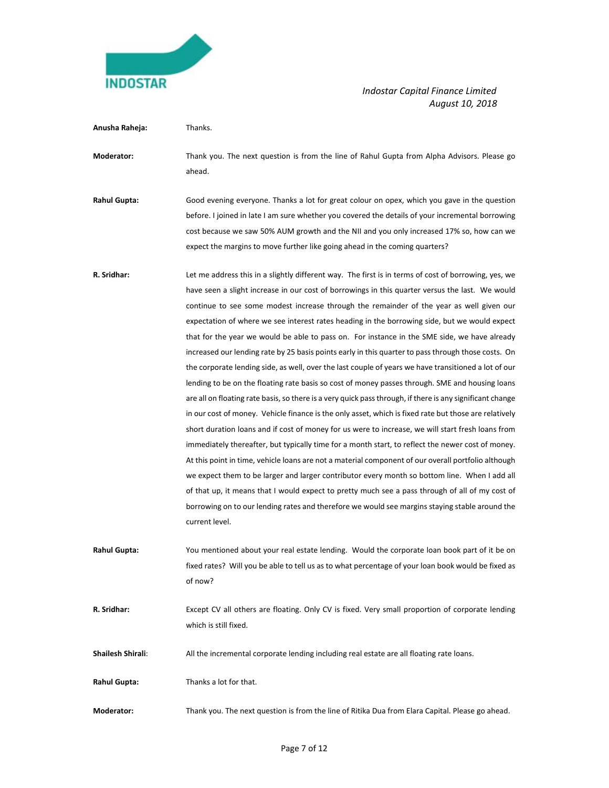

| Anusha Raheja:           | Thanks.                                                                                                                                                                                                                                                                                                                                                                                                                                                                                                                                                                                                                                                                                                                                                                                                                                                                                                                                                                                                                                                                                                                                                                                                                                                                                                                                                                                                                                                                                                                                                                                                                                                                               |
|--------------------------|---------------------------------------------------------------------------------------------------------------------------------------------------------------------------------------------------------------------------------------------------------------------------------------------------------------------------------------------------------------------------------------------------------------------------------------------------------------------------------------------------------------------------------------------------------------------------------------------------------------------------------------------------------------------------------------------------------------------------------------------------------------------------------------------------------------------------------------------------------------------------------------------------------------------------------------------------------------------------------------------------------------------------------------------------------------------------------------------------------------------------------------------------------------------------------------------------------------------------------------------------------------------------------------------------------------------------------------------------------------------------------------------------------------------------------------------------------------------------------------------------------------------------------------------------------------------------------------------------------------------------------------------------------------------------------------|
| Moderator:               | Thank you. The next question is from the line of Rahul Gupta from Alpha Advisors. Please go<br>ahead.                                                                                                                                                                                                                                                                                                                                                                                                                                                                                                                                                                                                                                                                                                                                                                                                                                                                                                                                                                                                                                                                                                                                                                                                                                                                                                                                                                                                                                                                                                                                                                                 |
| <b>Rahul Gupta:</b>      | Good evening everyone. Thanks a lot for great colour on opex, which you gave in the question<br>before. I joined in late I am sure whether you covered the details of your incremental borrowing<br>cost because we saw 50% AUM growth and the NII and you only increased 17% so, how can we<br>expect the margins to move further like going ahead in the coming quarters?                                                                                                                                                                                                                                                                                                                                                                                                                                                                                                                                                                                                                                                                                                                                                                                                                                                                                                                                                                                                                                                                                                                                                                                                                                                                                                           |
| R. Sridhar:              | Let me address this in a slightly different way. The first is in terms of cost of borrowing, yes, we<br>have seen a slight increase in our cost of borrowings in this quarter versus the last. We would<br>continue to see some modest increase through the remainder of the year as well given our<br>expectation of where we see interest rates heading in the borrowing side, but we would expect<br>that for the year we would be able to pass on. For instance in the SME side, we have already<br>increased our lending rate by 25 basis points early in this quarter to pass through those costs. On<br>the corporate lending side, as well, over the last couple of years we have transitioned a lot of our<br>lending to be on the floating rate basis so cost of money passes through. SME and housing loans<br>are all on floating rate basis, so there is a very quick pass through, if there is any significant change<br>in our cost of money. Vehicle finance is the only asset, which is fixed rate but those are relatively<br>short duration loans and if cost of money for us were to increase, we will start fresh loans from<br>immediately thereafter, but typically time for a month start, to reflect the newer cost of money.<br>At this point in time, vehicle loans are not a material component of our overall portfolio although<br>we expect them to be larger and larger contributor every month so bottom line. When I add all<br>of that up, it means that I would expect to pretty much see a pass through of all of my cost of<br>borrowing on to our lending rates and therefore we would see margins staying stable around the<br>current level. |
| <b>Rahul Gupta:</b>      | You mentioned about your real estate lending. Would the corporate loan book part of it be on<br>fixed rates? Will you be able to tell us as to what percentage of your loan book would be fixed as<br>of now?                                                                                                                                                                                                                                                                                                                                                                                                                                                                                                                                                                                                                                                                                                                                                                                                                                                                                                                                                                                                                                                                                                                                                                                                                                                                                                                                                                                                                                                                         |
| R. Sridhar:              | Except CV all others are floating. Only CV is fixed. Very small proportion of corporate lending<br>which is still fixed.                                                                                                                                                                                                                                                                                                                                                                                                                                                                                                                                                                                                                                                                                                                                                                                                                                                                                                                                                                                                                                                                                                                                                                                                                                                                                                                                                                                                                                                                                                                                                              |
| <b>Shailesh Shirali:</b> | All the incremental corporate lending including real estate are all floating rate loans.                                                                                                                                                                                                                                                                                                                                                                                                                                                                                                                                                                                                                                                                                                                                                                                                                                                                                                                                                                                                                                                                                                                                                                                                                                                                                                                                                                                                                                                                                                                                                                                              |
| <b>Rahul Gupta:</b>      | Thanks a lot for that.                                                                                                                                                                                                                                                                                                                                                                                                                                                                                                                                                                                                                                                                                                                                                                                                                                                                                                                                                                                                                                                                                                                                                                                                                                                                                                                                                                                                                                                                                                                                                                                                                                                                |
| Moderator:               | Thank you. The next question is from the line of Ritika Dua from Elara Capital. Please go ahead.                                                                                                                                                                                                                                                                                                                                                                                                                                                                                                                                                                                                                                                                                                                                                                                                                                                                                                                                                                                                                                                                                                                                                                                                                                                                                                                                                                                                                                                                                                                                                                                      |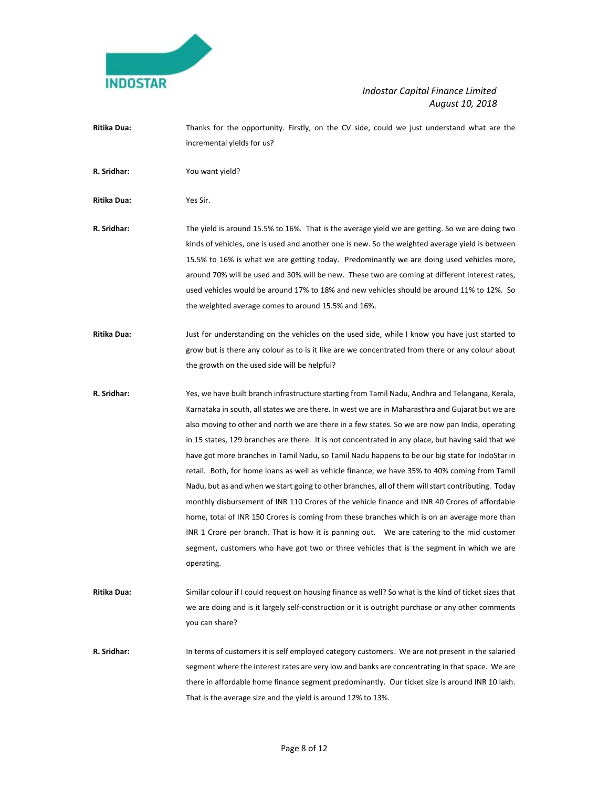

**Ritika Dua:** Thanks for the opportunity. Firstly, on the CV side, could we just understand what are the incremental yields for us?

**R. Sridhar:** You want yield?

**Ritika Dua:** Yes Sir.

- **R. Sridhar:** The yield is around 15.5% to 16%. That is the average yield we are getting. So we are doing two kinds of vehicles, one is used and another one is new. So the weighted average yield is between 15.5% to 16% is what we are getting today. Predominantly we are doing used vehicles more, around 70% will be used and 30% will be new. These two are coming at different interest rates, used vehicles would be around 17% to 18% and new vehicles should be around 11% to 12%. So the weighted average comes to around 15.5% and 16%.
- **Ritika Dua:** Just for understanding on the vehicles on the used side, while I know you have just started to grow but is there any colour as to is it like are we concentrated from there or any colour about the growth on the used side will be helpful?
- **R. Sridhar:** Yes, we have built branch infrastructure starting from Tamil Nadu, Andhra and Telangana, Kerala, Karnataka in south, all states we are there. In west we are in Maharasthra and Gujarat but we are also moving to other and north we are there in a few states. So we are now pan India, operating in 15 states, 129 branches are there. It is not concentrated in any place, but having said that we have got more branches in Tamil Nadu, so Tamil Nadu happens to be our big state for IndoStar in retail. Both, for home loans as well as vehicle finance, we have 35% to 40% coming from Tamil Nadu, but as and when we start going to other branches, all of them will start contributing. Today monthly disbursement of INR 110 Crores of the vehicle finance and INR 40 Crores of affordable home, total of INR 150 Crores is coming from these branches which is on an average more than INR 1 Crore per branch. That is how it is panning out. We are catering to the mid customer segment, customers who have got two or three vehicles that is the segment in which we are operating.
- **Ritika Dua:** Similar colour if I could request on housing finance as well? So what is the kind of ticket sizes that we are doing and is it largely self‐construction or it is outright purchase or any other comments you can share?
- **R. Sridhar:** In terms of customers it is self employed category customers. We are not present in the salaried segment where the interest rates are very low and banks are concentrating in that space. We are there in affordable home finance segment predominantly. Our ticket size is around INR 10 lakh. That is the average size and the yield is around 12% to 13%.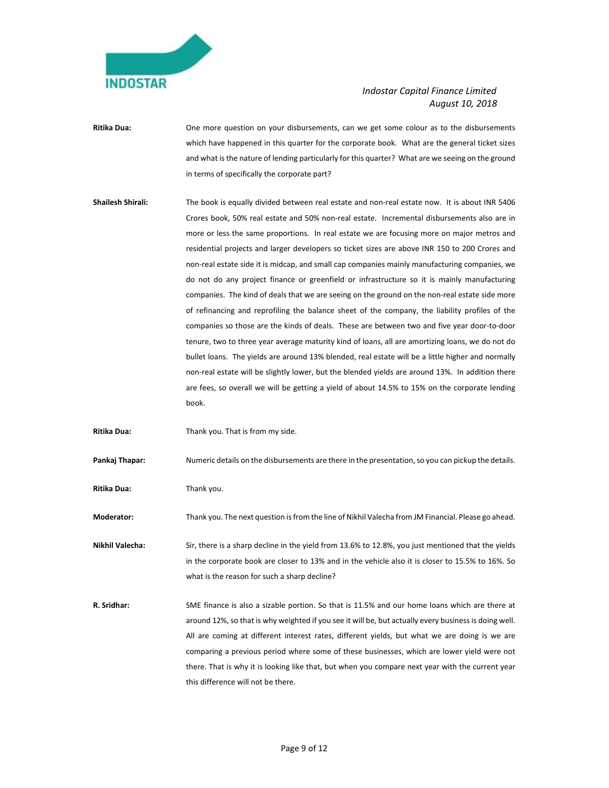

- **Ritika Dua:** One more question on your disbursements, can we get some colour as to the disbursements which have happened in this quarter for the corporate book. What are the general ticket sizes and what is the nature of lending particularly for this quarter? What are we seeing on the ground in terms of specifically the corporate part?
- Shailesh Shirali: The book is equally divided between real estate and non-real estate now. It is about INR 5406 Crores book, 50% real estate and 50% non‐real estate. Incremental disbursements also are in more or less the same proportions. In real estate we are focusing more on major metros and residential projects and larger developers so ticket sizes are above INR 150 to 200 Crores and non‐real estate side it is midcap, and small cap companies mainly manufacturing companies, we do not do any project finance or greenfield or infrastructure so it is mainly manufacturing companies. The kind of deals that we are seeing on the ground on the non-real estate side more of refinancing and reprofiling the balance sheet of the company, the liability profiles of the companies so those are the kinds of deals. These are between two and five year door‐to‐door tenure, two to three year average maturity kind of loans, all are amortizing loans, we do not do bullet loans. The yields are around 13% blended, real estate will be a little higher and normally non-real estate will be slightly lower, but the blended yields are around 13%. In addition there are fees, so overall we will be getting a yield of about 14.5% to 15% on the corporate lending book.
- **Ritika Dua:** Thank you. That is from my side.

**Pankaj Thapar:** Numeric details on the disbursements are there in the presentation, so you can pickup the details.

**Ritika Dua:** Thank you.

**Moderator:** Thank you. The next question is from the line of Nikhil Valecha from JM Financial. Please go ahead.

**Nikhil Valecha:** Sir, there is a sharp decline in the yield from 13.6% to 12.8%, you just mentioned that the yields in the corporate book are closer to 13% and in the vehicle also it is closer to 15.5% to 16%. So what is the reason for such a sharp decline?

**R. Sridhar:** SME finance is also a sizable portion. So that is 11.5% and our home loans which are there at around 12%, so that is why weighted if you see it will be, but actually every business is doing well. All are coming at different interest rates, different yields, but what we are doing is we are comparing a previous period where some of these businesses, which are lower yield were not there. That is why it is looking like that, but when you compare next year with the current year this difference will not be there.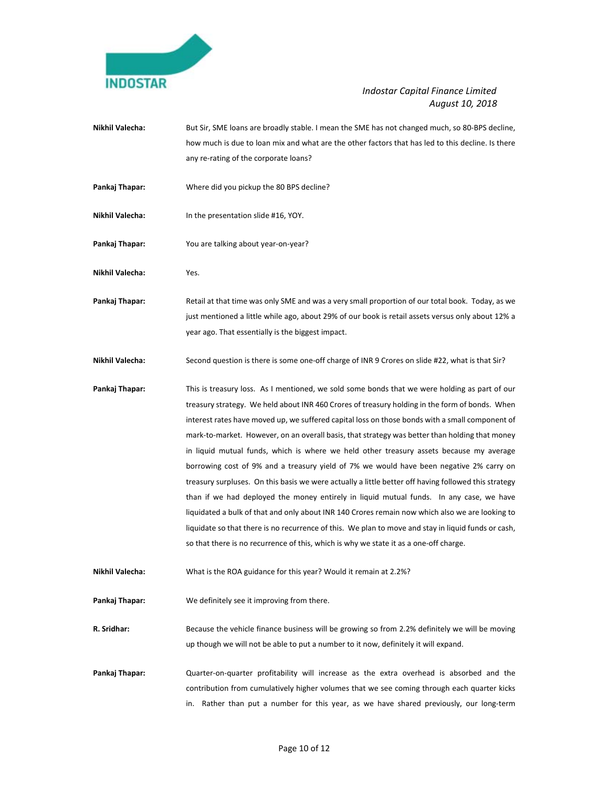

- **Nikhil Valecha:** But Sir, SME loans are broadly stable. I mean the SME has not changed much, so 80‐BPS decline, how much is due to loan mix and what are the other factors that has led to this decline. Is there any re-rating of the corporate loans?
- Pankaj Thapar: **Where did you pickup the 80 BPS decline?**
- **Nikhil Valecha:** In the presentation slide #16, YOY.
- Pankaj Thapar: **You are talking about year-on-year**?
- **Nikhil Valecha:** Yes.
- Pankaj Thapar: **Banka and Thand Thand I and Thand I and S** a very small proportion of our total book. Today, as we just mentioned a little while ago, about 29% of our book is retail assets versus only about 12% a year ago. That essentially is the biggest impact.
- **Nikhil Valecha:** Second question is there is some one-off charge of INR 9 Crores on slide #22, what is that Sir?
- **Pankaj Thapar:**  This is treasury loss. As I mentioned, we sold some bonds that we were holding as part of our treasury strategy. We held about INR 460 Crores of treasury holding in the form of bonds. When interest rates have moved up, we suffered capital loss on those bonds with a small component of mark‐to‐market. However, on an overall basis, that strategy was better than holding that money in liquid mutual funds, which is where we held other treasury assets because my average borrowing cost of 9% and a treasury yield of 7% we would have been negative 2% carry on treasury surpluses. On this basis we were actually a little better off having followed this strategy than if we had deployed the money entirely in liquid mutual funds. In any case, we have liquidated a bulk of that and only about INR 140 Crores remain now which also we are looking to liquidate so that there is no recurrence of this. We plan to move and stay in liquid funds or cash, so that there is no recurrence of this, which is why we state it as a one‐off charge.
- **Nikhil Valecha:** What is the ROA guidance for this year? Would it remain at 2.2%?
- Pankaj Thapar: We definitely see it improving from there.
- **R. Sridhar:** Because the vehicle finance business will be growing so from 2.2% definitely we will be moving up though we will not be able to put a number to it now, definitely it will expand.
- Pankaj Thapar: **Quarter-on-quarter profitability will increase** as the extra overhead is absorbed and the contribution from cumulatively higher volumes that we see coming through each quarter kicks in. Rather than put a number for this year, as we have shared previously, our long-term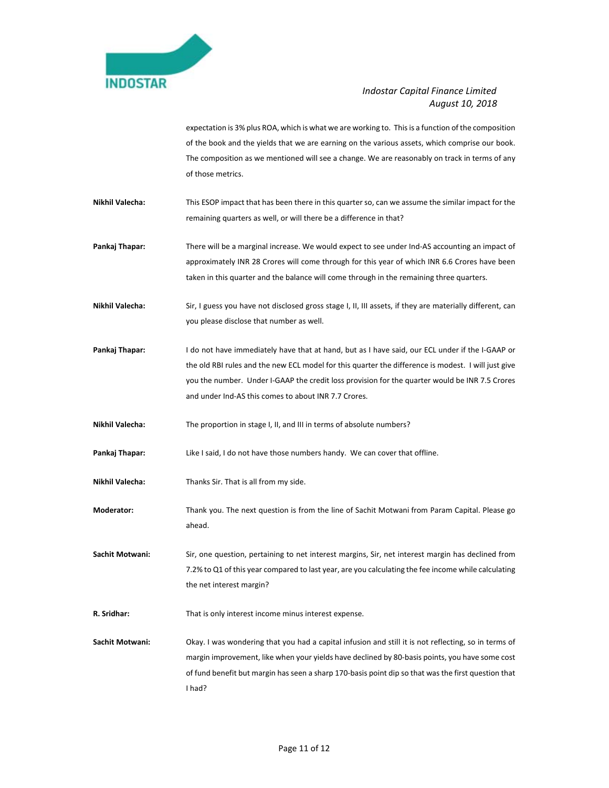

expectation is 3% plus ROA, which is what we are working to. This is a function of the composition of the book and the yields that we are earning on the various assets, which comprise our book. The composition as we mentioned will see a change. We are reasonably on track in terms of any of those metrics.

- **Nikhil Valecha:** This ESOP impact that has been there in this quarter so, can we assume the similar impact for the remaining quarters as well, or will there be a difference in that?
- Pankaj Thapar: There will be a marginal increase. We would expect to see under Ind-AS accounting an impact of approximately INR 28 Crores will come through for this year of which INR 6.6 Crores have been taken in this quarter and the balance will come through in the remaining three quarters.
- **Nikhil Valecha:** Sir, I guess you have not disclosed gross stage I, II, III assets, if they are materially different, can you please disclose that number as well.
- **Pankaj Thapar:**  I do not have immediately have that at hand, but as I have said, our ECL under if the I‐GAAP or the old RBI rules and the new ECL model for this quarter the difference is modest. I will just give you the number. Under I‐GAAP the credit loss provision for the quarter would be INR 7.5 Crores and under Ind‐AS this comes to about INR 7.7 Crores.

**Nikhil Valecha:** The proportion in stage I, II, and III in terms of absolute numbers?

- Pankaj Thapar: Like I said, I do not have those numbers handy. We can cover that offline.
- **Nikhil Valecha:** Thanks Sir. That is all from my side.
- **Moderator:**  Thank you. The next question is from the line of Sachit Motwani from Param Capital. Please go ahead.

Sachit Motwani: Sir, one question, pertaining to net interest margins, Sir, net interest margin has declined from 7.2% to Q1 of this year compared to last year, are you calculating the fee income while calculating the net interest margin?

**R. Sridhar:** That is only interest income minus interest expense.

**Sachit Motwani:** Okay. I was wondering that you had a capital infusion and still it is not reflecting, so in terms of margin improvement, like when your yields have declined by 80‐basis points, you have some cost of fund benefit but margin has seen a sharp 170‐basis point dip so that was the first question that I had?